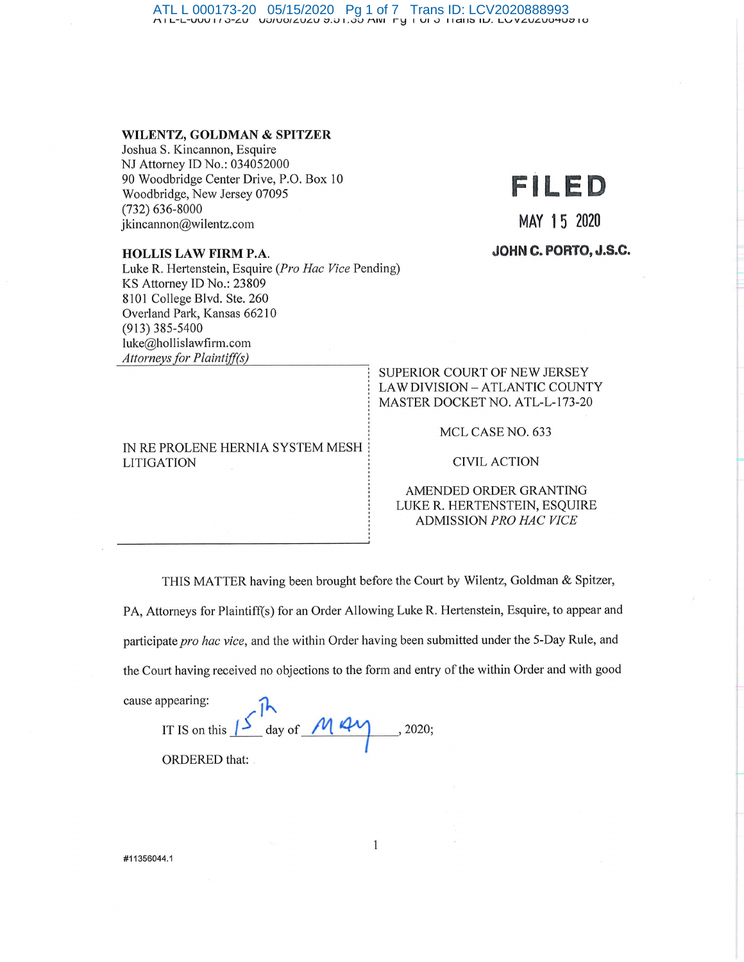ATL L 000173-20 05/15/2020 Pg 1 of 7 Trans ID: LCV2020888993 t"\I L-L-VVV I/ ..J-LV V.J/VO/LVLV :::,,,J I . ..J.J t"\IVI r\::j I VI ..J I ldl(::; IU. LvVLVLVO'-tU:::110

#### **WILENTZ, GOLDMAN & SPITZER**

Joshua S. Kincannon, Esquire NJ Attorney ID No.: 034052000 90 Woodbridge Center Drive, P.O. Box 10 Woodbridge, New Jersey 07095 (732) 636-8000 jkincannon@wilentz.com

#### **HOLLIS LAW FIRM P.A.**

Luke R. Hertenstein, Esquire *(Pro Hac Vice Pending)* KS Attorney ID No.: 23809 8101 College Blvd. Ste. 260 Overland Park, Kansas 66210 (913) 385-5400 luke@hollislawfirm.com *Attorneys for Plaintijf(s)* 

#### IN RE PROLENE HERNIA SYSTEM MESH LITIGATION

# **FILED**

**MAY 15 2020** 

**JOHN C. PORTO, J.S.C.** 

#### SUPERIOR COURT OF NEW JERSEY LAW DIVISION - ATLANTIC COUNTY MASTER DOCKET NO. ATL-L-173-20

MCL CASE NO. 633

CIVIL ACTION

AMENDED ORDER GRANTING LUKER. HERTENSTEIN, ESQUIRE ADMISSION *PRO HAC VICE* 

THIS MATTER having been brought before the Court by Wilentz, Goldman & Spitzer,

PA, Attorneys for Plaintiff(s) for an Order Allowing Luke R. Hertenstein, Esquire, to appear and

participate *pro hac vice*, and the within Order having been submitted under the 5-Day Rule, and

the Court having received no objections to the form and entry of the within Order and with good

cause appearing:

IT IS on this  $\frac{15}{10}$  day of  $\frac{M}{41}$ ORDERED that: , 2020;

#11356044.1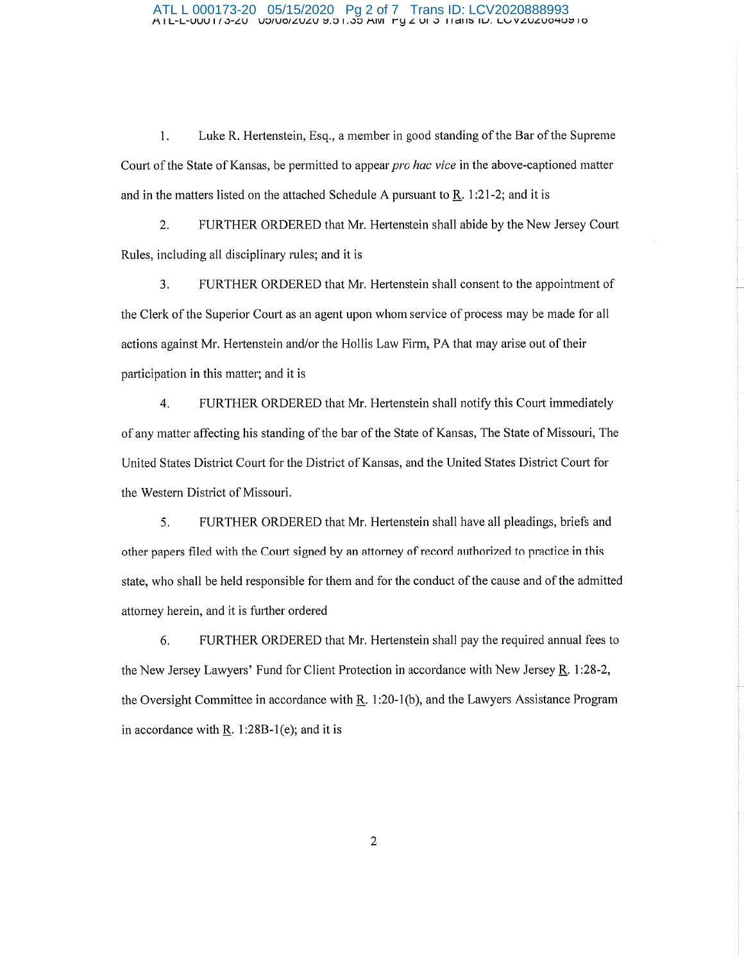#### ATL L 000173-20 05/15/2020 Pg 2 of 7 Trans ID: LCV2020888993<br>ATL-L-טועראנע אבובארי שטעאנעט אַס האָס אווי דין צ טוי אַ דוומוד ווי. בשעבעס אווי

1. Luke R. Hertenstein, Esq., a member in good standing of the Bar of the Supreme Court of the State of Kansas, be permitted to appear *pro hac vice* in the above-captioned matter and in the matters listed on the attached Schedule A pursuant to  $\underline{R}$ . 1:21-2; and it is

2. FURTHER ORDERED that Mr. Hertenstein shall abide by the New Jersey Court Rules, including all disciplinary rules; and it is

3. FURTHER ORDERED that Mr. Hertenstein shall consent to the appointment of the Clerk of the Superior Court as an agent upon whom service of process may be made for all actions against Mr. Hertenstein and/or the Hollis Law Firm, PA that may arise out of their participation in this matter; and it is

4. FURTHER ORDERED that Mr. Hertenstein shall notify this Court immediately of any matter affecting his standing of the bar of the State of Kansas, The State of Missouri, The United States District Court for the District of Kansas, and the United States District Court for the Western District of Missouri.

5. FURTHER ORDERED that Mr. Hertenstein shall have all pleadings, briefs and other papers filed with the Court signed by an attorney of record authorized to practice in this state, who shall be held responsible for them and for the conduct of the cause and of the admitted attorney herein, and it is further ordered

6. FURTHER ORDERED that Mr. Hertenstein shall pay the required annual fees to the New Jersey Lawyers' Fund for Client Protection in accordance with New Jersey R. 1:28-2, the Oversight Committee in accordance with R. 1:20-1(b), and the Lawyers Assistance Program in accordance with R. 1:28B-1 $(e)$ ; and it is

2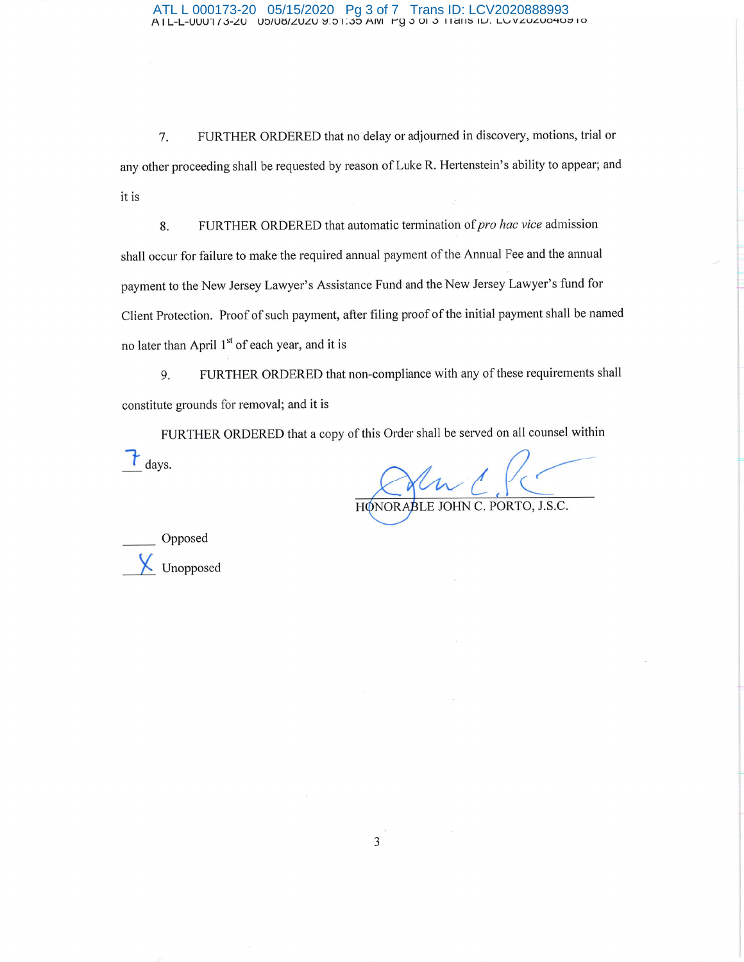## ATL L 000173-20 05/15/2020 Pg 3 of 7 Trans ID: LCV2020888993 A I L-L-UUU'I /j-L'.U Ub/Ul:j/L'.UL'.U ~:::n :00 AIVI i--g ,j Of ,j I lc:111:S 1u; L\..,VLULU0'+0::7 Io

7. FURTHER ORDERED that no delay or adjourned in discovery, motions, trial or any other proceeding shall be requested by reason of Luke R. Hertenstein's ability to appear; and it is

8. FURTHER ORDERED that automatic termination of *pro hac vice* admission shall occur for failure to make the required annual payment of the Annual Fee and the annual payment to the New Jersey Lawyer's Assistance Fund and the New Jersey Lawyer's fund for Client Protection. Proof of such payment, after filing proof of the initial payment shall be named no later than April 1<sup>st</sup> of each year, and it is

9. FURTHER ORDERED that non-compliance with any of these requirements shall constitute grounds for removal; and it is

FURTHER ORDERED that a copy of this Order shall be served on all counsel within *t* days.

HONORABLE JOHN C. PORTO, J.S.C.

\_\_ Opposed *i* Unopposed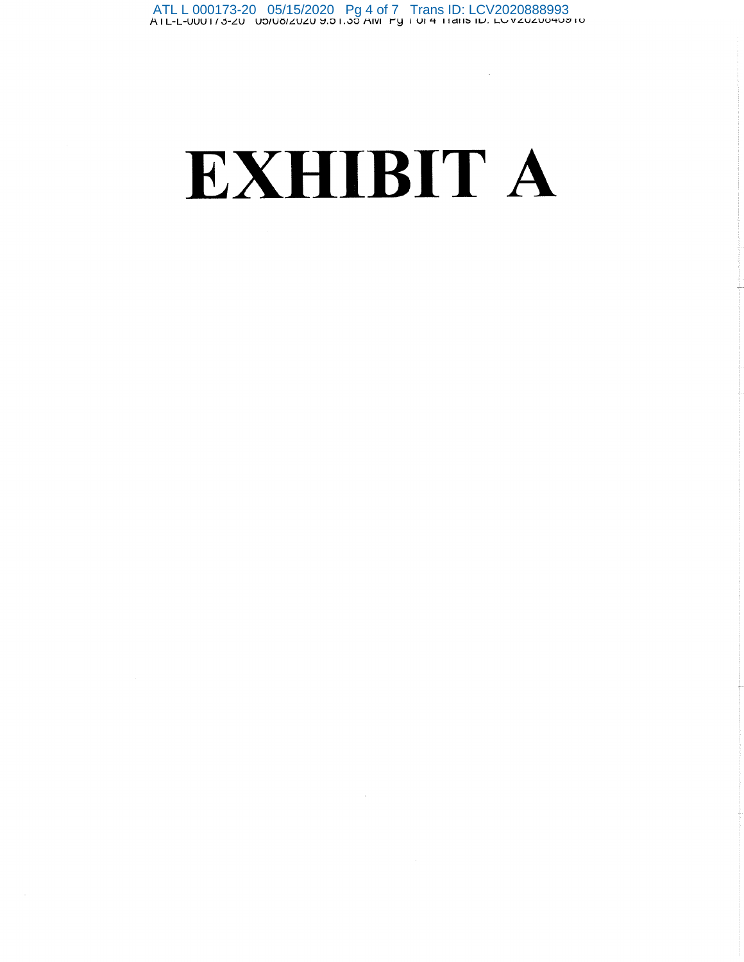# **EXHIBIT A**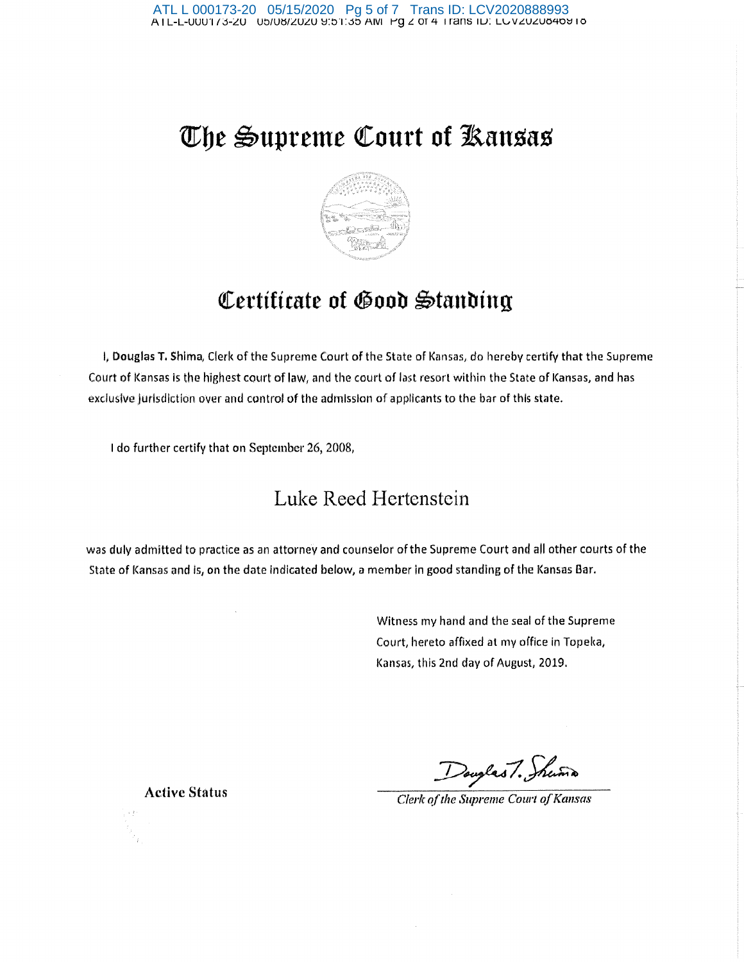# **~be ~upretne ~ourt of Jkansas**



# *<u>Certificate of Good Standing</u>*

1, Douglas T. Shima, Clerk of the Supreme Court of the State of Kansas, do hereby certify that the Supreme Court of Kansas is the highest court of law, and the court of last resort within the State of Kansas, and has exclusive jurisdiction over and control of the admission of applicants to the bar of this state.

I do further certify that on September 26, 2008,

## Luke Reed Hertenstein

was duly admitted to practice as an attorney and counselor of the Supreme Court and all other courts of the State of Kansas and is, on the date indicated below, a member in good standing of the Kansas Bar.

> Witness my hand and the seal of the Supreme Court, hereto afflxed at my office in Topeka, Kansas, this 2nd day of August, 2019.

Douglas 7. Shuma

*Clerk of the Supreme Court of Kansas* 

Active Status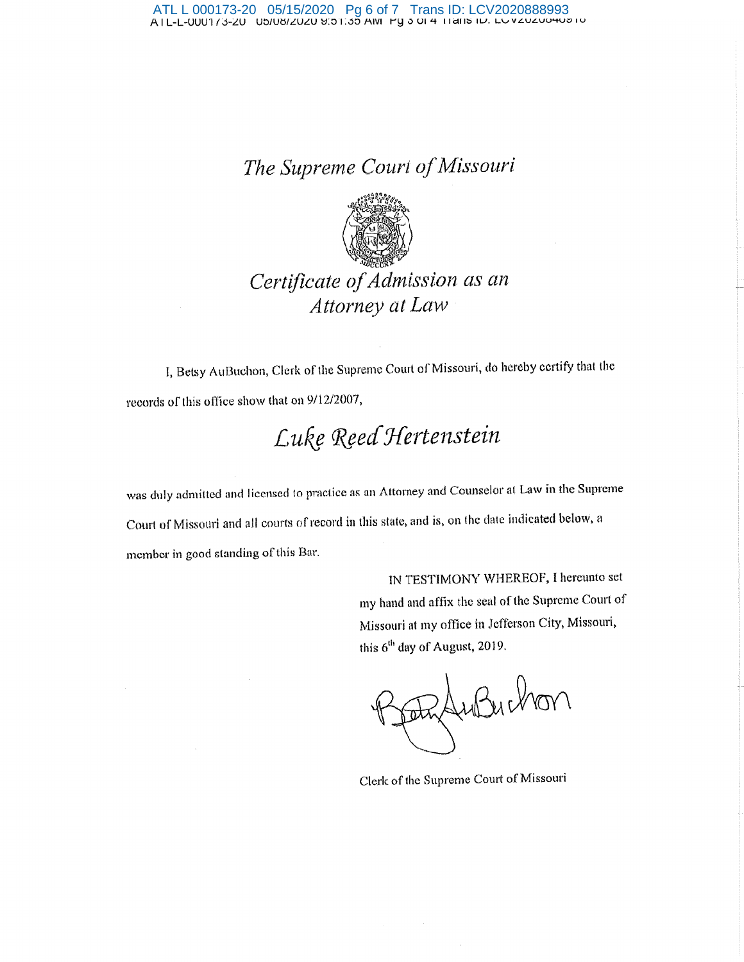## *The Suprenie Court oj'Missouri*



## *Certificate oj'Adntission as an Attorney at Law* ·

I, Betsy AuBuchon, Clerk of the Supreme Court of Missouri, do hereby certify that the records of this office show that on 9/12/2007,

# *<sup>L</sup>uf& <f(§ed J{ertenstein*

was duly admitted and licensed to practice as an Attorney and Counselor at Law in the Supreme Comt of Missouri and all courts of record in this state, and is, on the date indicated below, <sup>a</sup> member in good standing of this Bar.

> IN TESTIMONY WHEREOF, I hereunto set my hand and affix the seal of the Supreme Court of Missouri at my office in Jefferson City, Missomi, this 6<sup>th</sup> day of August, 2019.

Foto du Buchon

Clerk of the Supreme Court of Missouri